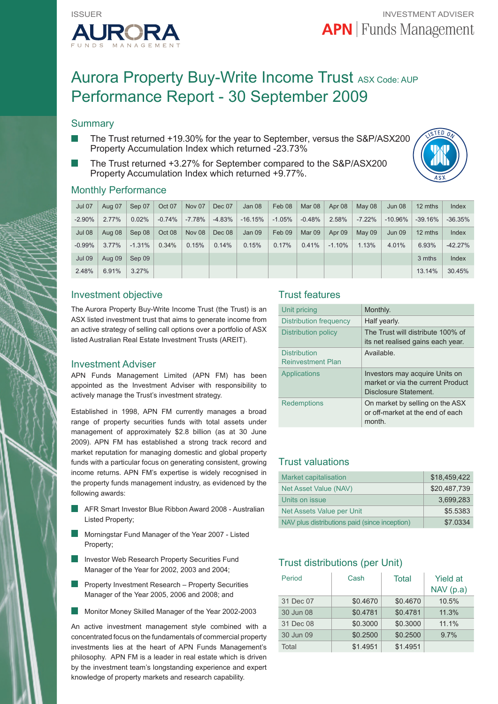

# Aurora Property Buy-Write Income Trust ASX Code: AUP Performance Report - 30 September 2009

## **Summary**

- The Trust returned +19.30% for the year to September, versus the S&P/ASX200 Property Accumulation Index which returned -23.73%
- The Trust returned +3.27% for September compared to the S&P/ASX200 Property Accumulation Index which returned +9.77%.



### Monthly Performance

| <b>Jul 07</b> | Aug 07   | Sep 07   | Oct 07   | Nov 07   | Dec 07   | Jan 08    | Feb 08   | Mar 08   | Apr 08   | May 08   | <b>Jun 08</b> | 12 mths   | Index     |
|---------------|----------|----------|----------|----------|----------|-----------|----------|----------|----------|----------|---------------|-----------|-----------|
| $-2.90\%$     | $2.77\%$ | 0.02%    | $-0.74%$ | $-7.78%$ | $-4.83%$ | $-16.15%$ | $-1.05%$ | $-0.48%$ | 2.58%    | $-7.22%$ | $-10.96\%$    | $-39.16%$ | $-36.35%$ |
| <b>Jul 08</b> | Aug 08   | Sep 08   | Oct 08   | Nov 08   | Dec 08   | Jan 09    | Feb 09   | Mar 09   | Apr 09   | May 09   | <b>Jun 09</b> | 12 mths   | Index     |
| $-0.99%$      | $3.77\%$ | $-1.31%$ | 0.34%    | 0.15%    | 0.14%    | 0.15%     | 0.17%    | 0.41%    | $-1.10%$ | 1.13%    | 4.01%         | 6.93%     | $-42.27%$ |
| <b>Jul 09</b> | Aug 09   | Sep 09   |          |          |          |           |          |          |          |          |               | 3 mths    | Index     |
| 2.48%         | 6.91%    | 3.27%    |          |          |          |           |          |          |          |          |               | 13.14%    | 30.45%    |

## Investment objective

The Aurora Property Buy-Write Income Trust (the Trust) is an ASX listed investment trust that aims to generate income from an active strategy of selling call options over a portfolio of ASX listed Australian Real Estate Investment Trusts (AREIT).

#### Investment Adviser

APN Funds Management Limited (APN FM) has been appointed as the Investment Adviser with responsibility to actively manage the Trust's investment strategy.

Established in 1998, APN FM currently manages a broad range of property securities funds with total assets under management of approximately \$2.8 billion (as at 30 June 2009). APN FM has established a strong track record and market reputation for managing domestic and global property funds with a particular focus on generating consistent, growing income returns. APN FM's expertise is widely recognised in the property funds management industry, as evidenced by the following awards:

- AFR Smart Investor Blue Ribbon Award 2008 Australian Listed Property;
- Morningstar Fund Manager of the Year 2007 Listed Property;
- Investor Web Research Property Securities Fund Manager of the Year for 2002, 2003 and 2004;
- Property Investment Research Property Securities Manager of the Year 2005, 2006 and 2008; and
- ×. Monitor Money Skilled Manager of the Year 2002-2003

An active investment management style combined with a concentrated focus on the fundamentals of commercial property investments lies at the heart of APN Funds Management's philosophy. APN FM is a leader in real estate which is driven by the investment team's longstanding experience and expert knowledge of property markets and research capability.

## Trust features

| Unit pricing                                    | Monthly.                                                                                     |
|-------------------------------------------------|----------------------------------------------------------------------------------------------|
| Distribution frequency                          | Half yearly.                                                                                 |
| Distribution policy                             | The Trust will distribute 100% of<br>its net realised gains each year.                       |
| <b>Distribution</b><br><b>Reinvestment Plan</b> | Available.                                                                                   |
| Applications                                    | Investors may acquire Units on<br>market or via the current Product<br>Disclosure Statement. |
| Redemptions                                     | On market by selling on the ASX<br>or off-market at the end of each<br>month.                |

## Trust valuations

| Market capitalisation                         | \$18.459.422 |
|-----------------------------------------------|--------------|
| Net Asset Value (NAV)                         | \$20.487.739 |
| Units on issue                                | 3,699,283    |
| Net Assets Value per Unit                     | \$5.5383     |
| NAV plus distributions paid (since inception) | \$7,0334     |

## Trust distributions (per Unit)

| Period    | Cash     | Total    | <b>Yield at</b><br>NAV(p.a) |  |  |
|-----------|----------|----------|-----------------------------|--|--|
| 31 Dec 07 | \$0.4670 | \$0.4670 | 10.5%                       |  |  |
| 30 Jun 08 | \$0.4781 | \$0.4781 | 11.3%                       |  |  |
| 31 Dec 08 | \$0.3000 | \$0.3000 | 11.1%                       |  |  |
| 30 Jun 09 | \$0.2500 | \$0.2500 | 9.7%                        |  |  |
| Total     | \$1.4951 | \$1.4951 |                             |  |  |